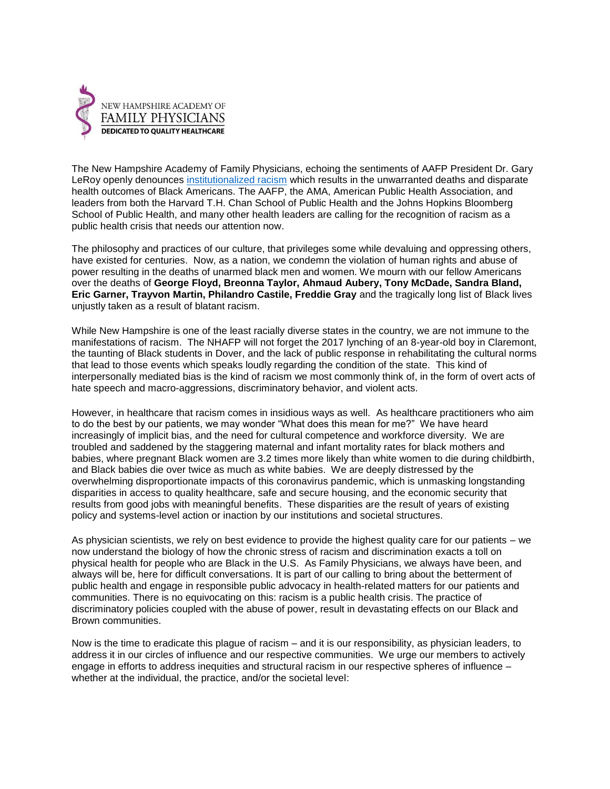

The New Hampshire Academy of Family Physicians, echoing the sentiments of AAFP President Dr. Gary LeRoy openly denounces [institutionalized racism](https://www.aafp.org/media-center/releases-statements/all/2020/aafp-condemns-all-forms-of-racism.html) which results in the unwarranted deaths and disparate health outcomes of Black Americans. The AAFP, the AMA, American Public Health Association, and leaders from both the Harvard T.H. Chan School of Public Health and the Johns Hopkins Bloomberg School of Public Health, and many other health leaders are calling for the recognition of racism as a public health crisis that needs our attention now.

The philosophy and practices of our culture, that privileges some while devaluing and oppressing others, have existed for centuries. Now, as a nation, we condemn the violation of human rights and abuse of power resulting in the deaths of unarmed black men and women. We mourn with our fellow Americans over the deaths of **George Floyd, Breonna Taylor, Ahmaud Aubery, Tony McDade, Sandra Bland, Eric Garner, Trayvon Martin, Philandro Castile, Freddie Gray** and the tragically long list of Black lives unjustly taken as a result of blatant racism.

While New Hampshire is one of the least racially diverse states in the country, we are not immune to the manifestations of racism. The NHAFP will not forget the 2017 lynching of an 8-year-old boy in Claremont, the taunting of Black students in Dover, and the lack of public response in rehabilitating the cultural norms that lead to those events which speaks loudly regarding the condition of the state. This kind of interpersonally mediated bias is the kind of racism we most commonly think of, in the form of overt acts of hate speech and macro-aggressions, discriminatory behavior, and violent acts.

However, in healthcare that racism comes in insidious ways as well. As healthcare practitioners who aim to do the best by our patients, we may wonder "What does this mean for me?" We have heard increasingly of implicit bias, and the need for cultural competence and workforce diversity. We are troubled and saddened by the staggering maternal and infant mortality rates for black mothers and babies, where pregnant Black women are 3.2 times more likely than white women to die during childbirth, and Black babies die over twice as much as white babies. We are deeply distressed by the overwhelming disproportionate impacts of this coronavirus pandemic, which is unmasking longstanding disparities in access to quality healthcare, safe and secure housing, and the economic security that results from good jobs with meaningful benefits. These disparities are the result of years of existing policy and systems-level action or inaction by our institutions and societal structures.

As physician scientists, we rely on best evidence to provide the highest quality care for our patients – we now understand the biology of how the chronic stress of racism and discrimination exacts a toll on physical health for people who are Black in the U.S. As Family Physicians, we always have been, and always will be, here for difficult conversations. It is part of our calling to bring about the betterment of public health and engage in responsible public advocacy in health-related matters for our patients and communities. There is no equivocating on this: racism is a public health crisis. The practice of discriminatory policies coupled with the abuse of power, result in devastating effects on our Black and Brown communities.

Now is the time to eradicate this plague of racism – and it is our responsibility, as physician leaders, to address it in our circles of influence and our respective communities. We urge our members to actively engage in efforts to address inequities and structural racism in our respective spheres of influence – whether at the individual, the practice, and/or the societal level: